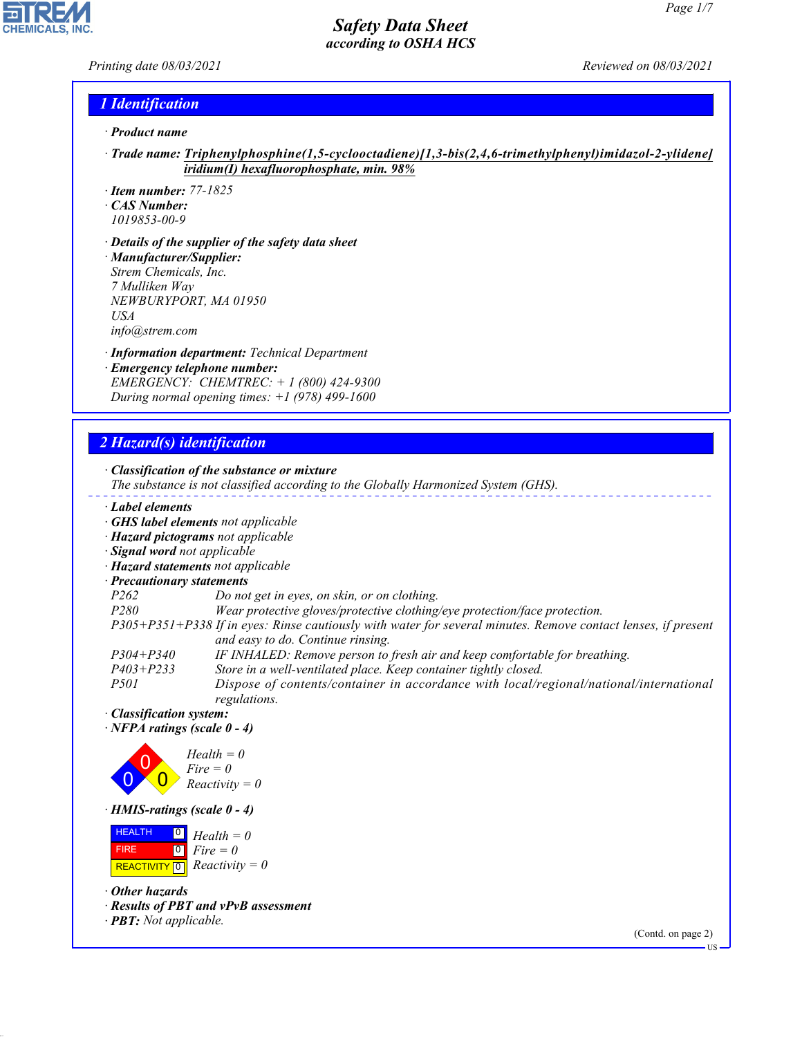*Printing date 08/03/2021 Reviewed on 08/03/2021*

 $\overline{\phantom{a}}$ 

**CHEMICALS, INC.** 

#### *1 Identification*

- *· Product name*
- *· Trade name: Triphenylphosphine(1,5-cyclooctadiene)[1,3-bis(2,4,6-trimethylphenyl)imidazol-2-ylidene] iridium(I) hexafluorophosphate, min. 98%*
- *· Item number: 77-1825*
- *· CAS Number: 1019853-00-9*
- *· Details of the supplier of the safety data sheet*
- *· Manufacturer/Supplier: Strem Chemicals, Inc. 7 Mulliken Way NEWBURYPORT, MA 01950 USA*
- *info@strem.com*
- *· Information department: Technical Department · Emergency telephone number: EMERGENCY: CHEMTREC: + 1 (800) 424-9300 During normal opening times: +1 (978) 499-1600*

## *2 Hazard(s) identification*

| $\frac{1}{2}$ , , , ,              |                                                                                                                                          |
|------------------------------------|------------------------------------------------------------------------------------------------------------------------------------------|
|                                    | $\cdot$ Classification of the substance or mixture<br>The substance is not classified according to the Globally Harmonized System (GHS). |
| Label elements                     |                                                                                                                                          |
|                                    | · <b>GHS label elements</b> not applicable                                                                                               |
|                                    | · Hazard pictograms not applicable                                                                                                       |
| · Signal word not applicable       |                                                                                                                                          |
| · Hazard statements not applicable |                                                                                                                                          |
| · Precautionary statements         |                                                                                                                                          |
| P <sub>262</sub>                   | Do not get in eyes, on skin, or on clothing.                                                                                             |
| P280                               | Wear protective gloves/protective clothing/eye protection/face protection.                                                               |
|                                    | P305+P351+P338 If in eyes: Rinse cautiously with water for several minutes. Remove contact lenses, if present                            |
|                                    | and easy to do. Continue rinsing.                                                                                                        |
| $P304 + P340$                      | IF INHALED: Remove person to fresh air and keep comfortable for breathing.                                                               |
| $P403 + P233$                      | Store in a well-ventilated place. Keep container tightly closed.                                                                         |
| <i>P501</i>                        | Dispose of contents/container in accordance with local/regional/national/international<br>regulations.                                   |
| · Classification system:           |                                                                                                                                          |
| $\cdot$ NFPA ratings (scale 0 - 4) |                                                                                                                                          |
|                                    |                                                                                                                                          |
|                                    | $Health = 0$<br>$Fire = 0$                                                                                                               |
|                                    |                                                                                                                                          |
|                                    | $Reactivity = 0$                                                                                                                         |
| $\cdot$ HMIS-ratings (scale 0 - 4) |                                                                                                                                          |
| <b>HEALTH</b><br>$\boxed{0}$       | $Health = 0$                                                                                                                             |
| <b>FIRE</b>                        | $ 0 $ Fire $= 0$                                                                                                                         |
| <b>REACTIVITY</b> 0                | $Reactivity = 0$                                                                                                                         |
| $\cdot$ Other hazards              | Rosults of PRT and vPvR assossment                                                                                                       |

- *· Results of PBT and vPvB assessment*
- *· PBT: Not applicable.*

44.1.1

(Contd. on page 2)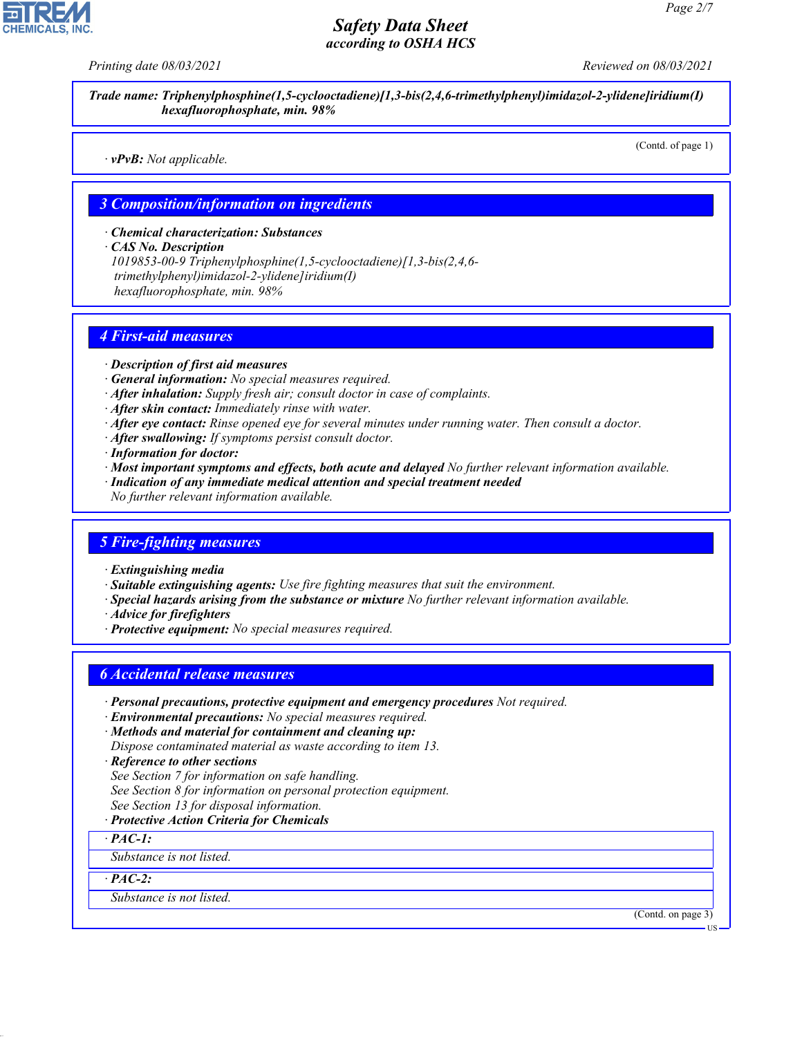

*Trade name: Triphenylphosphine(1,5-cyclooctadiene)[1,3-bis(2,4,6-trimethylphenyl)imidazol-2-ylidene]iridium(I) hexafluorophosphate, min. 98%*

*· vPvB: Not applicable.*

(Contd. of page 1)

#### *3 Composition/information on ingredients*

*· Chemical characterization: Substances*

*· CAS No. Description*

*1019853-00-9 Triphenylphosphine(1,5-cyclooctadiene)[1,3-bis(2,4,6 trimethylphenyl)imidazol-2-ylidene]iridium(I) hexafluorophosphate, min. 98%*

#### *4 First-aid measures*

- *· Description of first aid measures*
- *· General information: No special measures required.*
- *· After inhalation: Supply fresh air; consult doctor in case of complaints.*
- *· After skin contact: Immediately rinse with water.*
- *· After eye contact: Rinse opened eye for several minutes under running water. Then consult a doctor.*
- *· After swallowing: If symptoms persist consult doctor.*
- *· Information for doctor:*
- *· Most important symptoms and effects, both acute and delayed No further relevant information available.*
- *· Indication of any immediate medical attention and special treatment needed*
- *No further relevant information available.*

#### *5 Fire-fighting measures*

- *· Extinguishing media*
- *· Suitable extinguishing agents: Use fire fighting measures that suit the environment.*
- *· Special hazards arising from the substance or mixture No further relevant information available.*
- *· Advice for firefighters*
- *· Protective equipment: No special measures required.*

#### *6 Accidental release measures*

*· Personal precautions, protective equipment and emergency procedures Not required.*

*· Environmental precautions: No special measures required.*

- *· Methods and material for containment and cleaning up: Dispose contaminated material as waste according to item 13.*
- *· Reference to other sections*
- *See Section 7 for information on safe handling.*
- *See Section 8 for information on personal protection equipment.*
- *See Section 13 for disposal information.*

#### *· Protective Action Criteria for Chemicals*

*· PAC-1:*

*Substance is not listed.*

*· PAC-2:*

44.1.1

*Substance is not listed.*

(Contd. on page 3)

US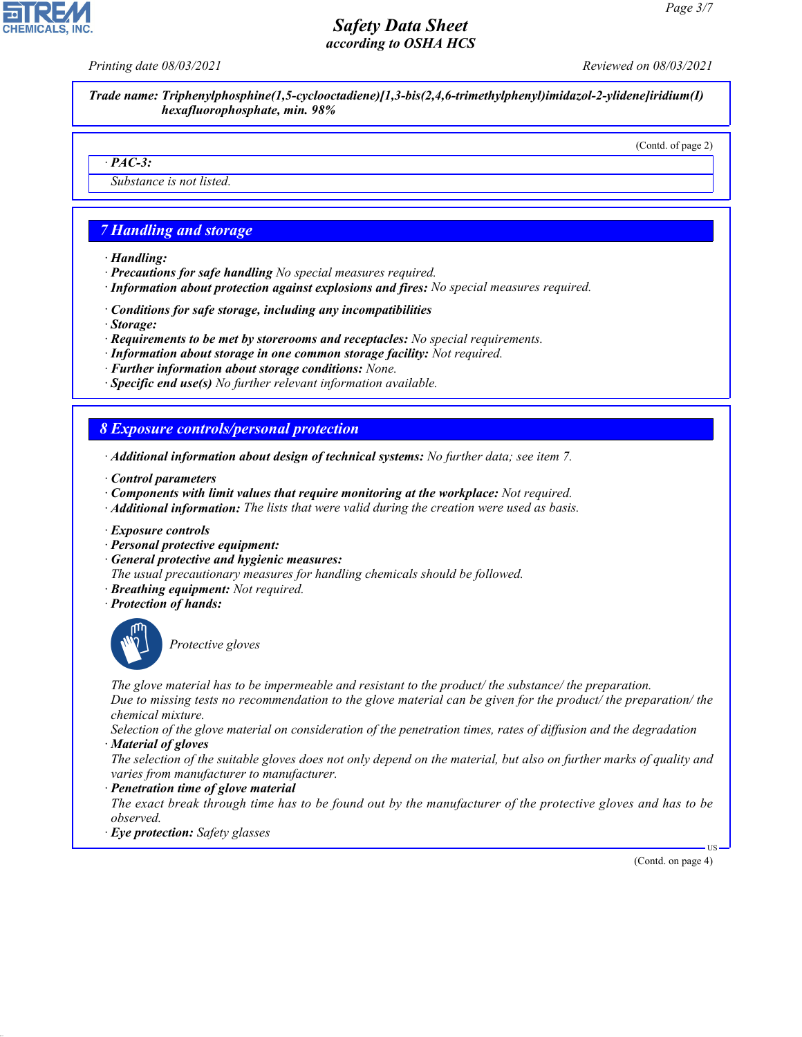*Printing date 08/03/2021 Reviewed on 08/03/2021*

*Trade name: Triphenylphosphine(1,5-cyclooctadiene)[1,3-bis(2,4,6-trimethylphenyl)imidazol-2-ylidene]iridium(I) hexafluorophosphate, min. 98%*

(Contd. of page 2)

#### *· PAC-3:*

*Substance is not listed.*

#### *7 Handling and storage*

- *· Handling:*
- *· Precautions for safe handling No special measures required.*
- *· Information about protection against explosions and fires: No special measures required.*
- *· Conditions for safe storage, including any incompatibilities*
- *· Storage:*
- *· Requirements to be met by storerooms and receptacles: No special requirements.*
- *· Information about storage in one common storage facility: Not required.*
- *· Further information about storage conditions: None.*
- *· Specific end use(s) No further relevant information available.*

#### *8 Exposure controls/personal protection*

- *· Additional information about design of technical systems: No further data; see item 7.*
- *· Control parameters*
- *· Components with limit values that require monitoring at the workplace: Not required.*
- *· Additional information: The lists that were valid during the creation were used as basis.*
- *· Exposure controls*
- *· Personal protective equipment:*
- *· General protective and hygienic measures:*
- *The usual precautionary measures for handling chemicals should be followed.*
- *· Breathing equipment: Not required.*
- *· Protection of hands:*



44.1.1

\_S*Protective gloves*

*The glove material has to be impermeable and resistant to the product/ the substance/ the preparation. Due to missing tests no recommendation to the glove material can be given for the product/ the preparation/ the*

*chemical mixture.*

*Selection of the glove material on consideration of the penetration times, rates of diffusion and the degradation · Material of gloves*

*The selection of the suitable gloves does not only depend on the material, but also on further marks of quality and varies from manufacturer to manufacturer.*

*· Penetration time of glove material*

*The exact break through time has to be found out by the manufacturer of the protective gloves and has to be observed.*

*· Eye protection: Safety glasses*

(Contd. on page 4)

US

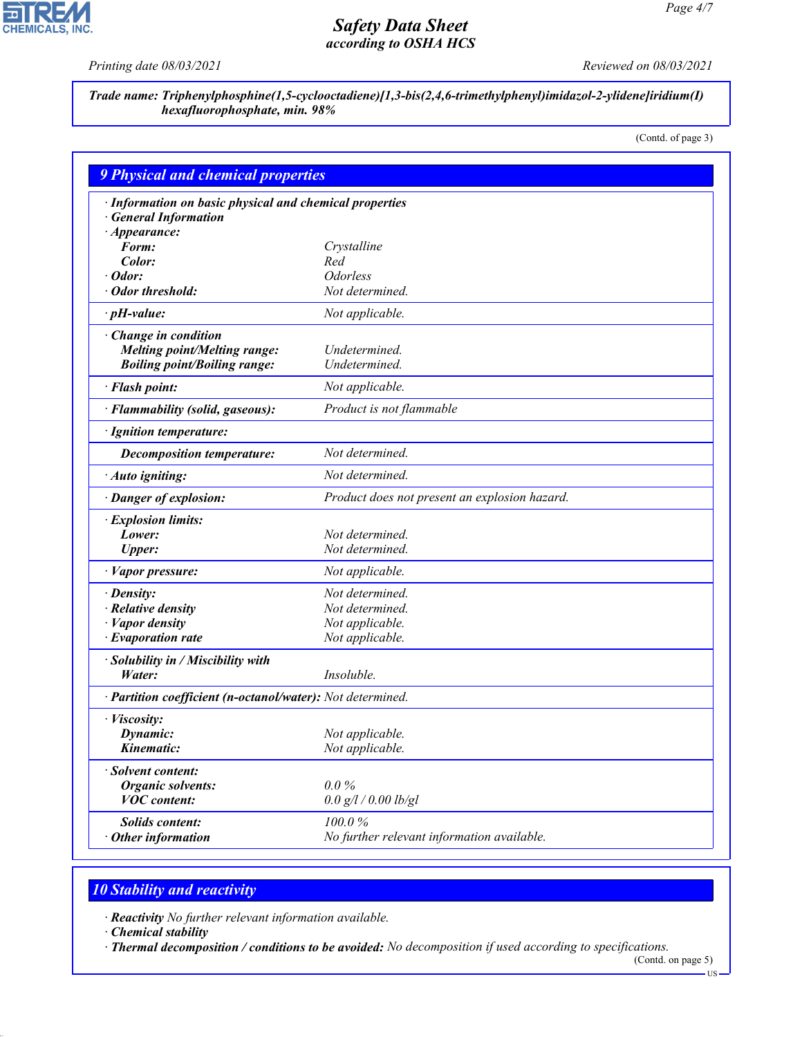*Printing date 08/03/2021 Reviewed on 08/03/2021*

っ

**CHEMICALS, INC.** 

*Trade name: Triphenylphosphine(1,5-cyclooctadiene)[1,3-bis(2,4,6-trimethylphenyl)imidazol-2-ylidene]iridium(I) hexafluorophosphate, min. 98%*

(Contd. of page 3)

| · Information on basic physical and chemical properties    |                                               |  |
|------------------------------------------------------------|-----------------------------------------------|--|
| <b>General Information</b>                                 |                                               |  |
| $\cdot$ Appearance:                                        |                                               |  |
| Form:                                                      | Crystalline                                   |  |
| Color:                                                     | Red                                           |  |
| Odor:                                                      | <b>Odorless</b>                               |  |
| Odor threshold:                                            | Not determined.                               |  |
| $\cdot$ pH-value:                                          | Not applicable.                               |  |
| Change in condition                                        |                                               |  |
| <b>Melting point/Melting range:</b>                        | Undetermined.                                 |  |
| <b>Boiling point/Boiling range:</b>                        | Undetermined.                                 |  |
| · Flash point:                                             | Not applicable.                               |  |
| · Flammability (solid, gaseous):                           | Product is not flammable                      |  |
| · Ignition temperature:                                    |                                               |  |
| <b>Decomposition temperature:</b>                          | Not determined.                               |  |
| · Auto igniting:                                           | Not determined.                               |  |
| · Danger of explosion:                                     | Product does not present an explosion hazard. |  |
| · Explosion limits:                                        |                                               |  |
| Lower:                                                     | Not determined.                               |  |
| <b>Upper:</b>                                              | Not determined.                               |  |
| · Vapor pressure:                                          | Not applicable.                               |  |
| $\cdot$ Density:                                           | Not determined.                               |  |
| $\cdot$ Relative density                                   | Not determined.                               |  |
| $\cdot$ <i>Vapor density</i>                               | Not applicable.                               |  |
| $\cdot$ Evaporation rate                                   | Not applicable.                               |  |
| · Solubility in / Miscibility with                         |                                               |  |
| Water:                                                     | Insoluble.                                    |  |
| · Partition coefficient (n-octanol/water): Not determined. |                                               |  |
| · Viscosity:                                               |                                               |  |
| Dynamic:                                                   | Not applicable.                               |  |
| Kinematic:                                                 | Not applicable.                               |  |
| · Solvent content:                                         |                                               |  |
| <b>Organic solvents:</b>                                   | $0.0\%$                                       |  |
| <b>VOC</b> content:                                        | $0.0$ g/l / 0.00 lb/gl                        |  |
| <b>Solids content:</b>                                     | 100.0%                                        |  |
| $\cdot$ Other information                                  | No further relevant information available.    |  |

# *10 Stability and reactivity*

*· Reactivity No further relevant information available.*

*· Chemical stability*

44.1.1

*· Thermal decomposition / conditions to be avoided: No decomposition if used according to specifications.* (Contd. on page 5)

 $-US$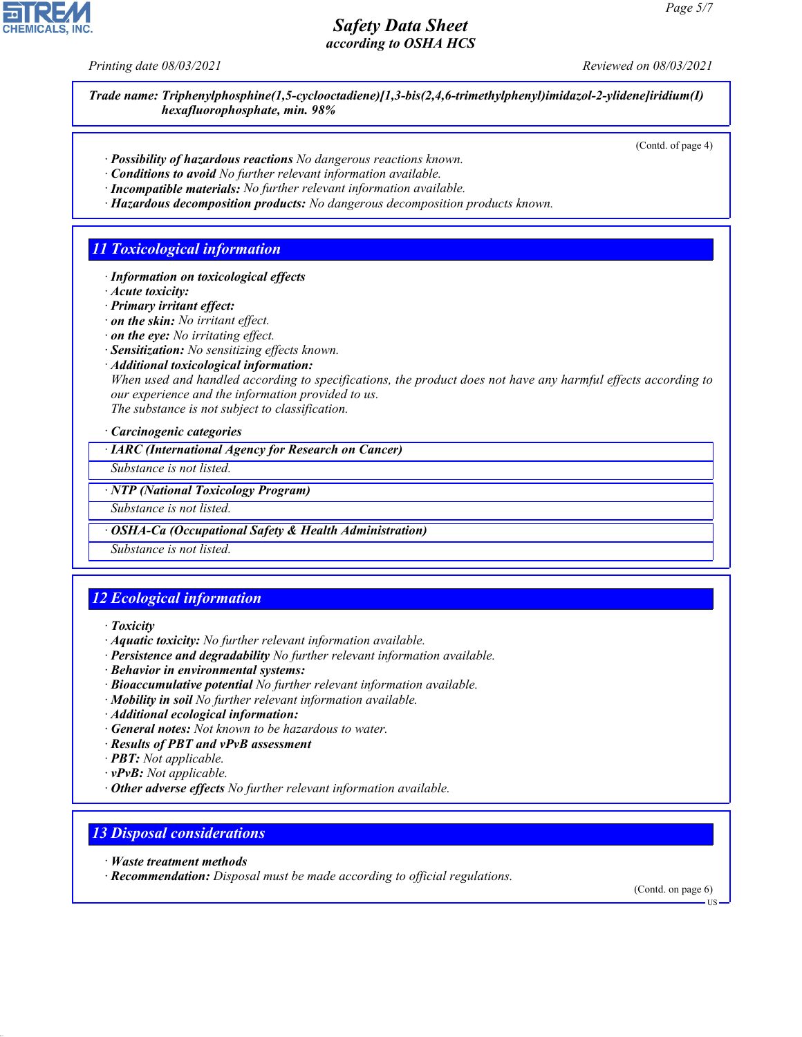*Printing date 08/03/2021 Reviewed on 08/03/2021*

*Trade name: Triphenylphosphine(1,5-cyclooctadiene)[1,3-bis(2,4,6-trimethylphenyl)imidazol-2-ylidene]iridium(I) hexafluorophosphate, min. 98%*

(Contd. of page 4)

- *· Possibility of hazardous reactions No dangerous reactions known.*
- *· Conditions to avoid No further relevant information available.*
- *· Incompatible materials: No further relevant information available.*
- *· Hazardous decomposition products: No dangerous decomposition products known.*

### *11 Toxicological information*

- *· Information on toxicological effects*
- *· Acute toxicity:*
- *· Primary irritant effect:*
- *· on the skin: No irritant effect.*
- *· on the eye: No irritating effect.*
- *· Sensitization: No sensitizing effects known.*
- *· Additional toxicological information:*

*When used and handled according to specifications, the product does not have any harmful effects according to our experience and the information provided to us. The substance is not subject to classification.*

*· Carcinogenic categories*

*· IARC (International Agency for Research on Cancer)*

*Substance is not listed.*

*· NTP (National Toxicology Program)*

*Substance is not listed.*

*· OSHA-Ca (Occupational Safety & Health Administration)*

*Substance is not listed.*

# *12 Ecological information*

- *· Toxicity*
- *· Aquatic toxicity: No further relevant information available.*
- *· Persistence and degradability No further relevant information available.*
- *· Behavior in environmental systems:*
- *· Bioaccumulative potential No further relevant information available.*
- *· Mobility in soil No further relevant information available.*
- *· Additional ecological information:*
- *· General notes: Not known to be hazardous to water.*
- *· Results of PBT and vPvB assessment*
- *· PBT: Not applicable.*
- *· vPvB: Not applicable.*
- *· Other adverse effects No further relevant information available.*

#### *13 Disposal considerations*

*· Waste treatment methods*

44.1.1

*· Recommendation: Disposal must be made according to official regulations.*

(Contd. on page 6)

US

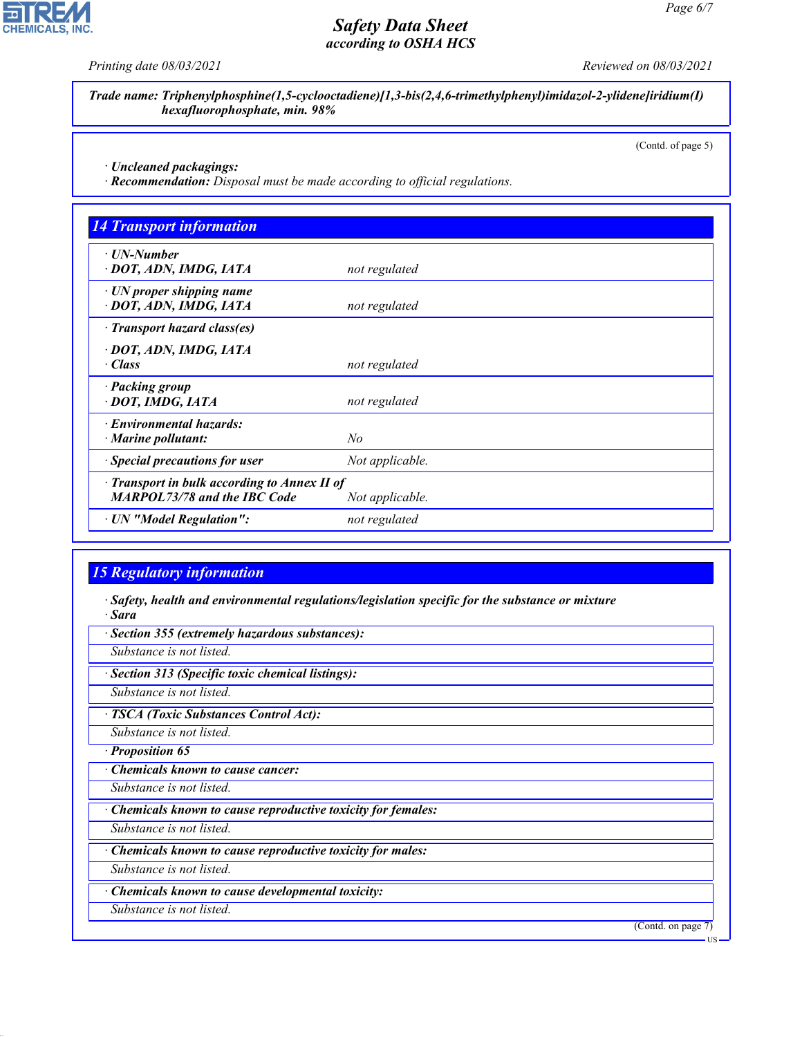

**CHEMICALS, INC.** 

*Trade name: Triphenylphosphine(1,5-cyclooctadiene)[1,3-bis(2,4,6-trimethylphenyl)imidazol-2-ylidene]iridium(I) hexafluorophosphate, min. 98%*

(Contd. of page 5)

*· Uncleaned packagings:*

*· Recommendation: Disposal must be made according to official regulations.*

| <b>14 Transport information</b>                                                     |                 |
|-------------------------------------------------------------------------------------|-----------------|
| ⋅ UN-Number<br>· DOT, ADN, IMDG, IATA                                               | not regulated   |
| $\cdot$ UN proper shipping name<br>· DOT, ADN, IMDG, IATA                           | not regulated   |
| · Transport hazard class(es)                                                        |                 |
| · DOT, ADN, IMDG, IATA<br>$\cdot$ Class                                             | not regulated   |
| · Packing group<br>· DOT, IMDG, IATA                                                | not regulated   |
| · Environmental hazards:<br>$\cdot$ Marine pollutant:                               | No              |
| · Special precautions for user                                                      | Not applicable. |
| · Transport in bulk according to Annex II of<br><b>MARPOL73/78 and the IBC Code</b> | Not applicable. |
| · UN "Model Regulation":                                                            | not regulated   |

#### *15 Regulatory information*

*· Safety, health and environmental regulations/legislation specific for the substance or mixture · Sara*

*· Section 355 (extremely hazardous substances):*

*Substance is not listed.*

*· Section 313 (Specific toxic chemical listings):*

*Substance is not listed.*

*· TSCA (Toxic Substances Control Act):*

*Substance is not listed.*

*· Proposition 65*

*· Chemicals known to cause cancer:*

*Substance is not listed.*

*· Chemicals known to cause reproductive toxicity for females:*

*Substance is not listed.*

*· Chemicals known to cause reproductive toxicity for males:*

*Substance is not listed.*

*· Chemicals known to cause developmental toxicity:*

*Substance is not listed.*

44.1.1

(Contd. on page 7)

US